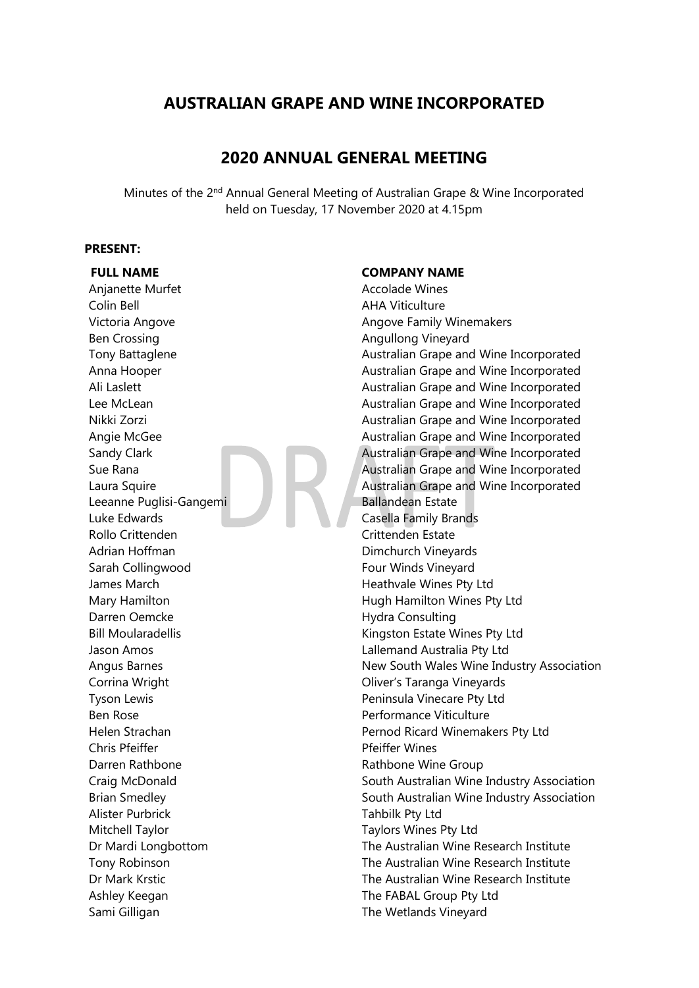# **AUSTRALIAN GRAPE AND WINE INCORPORATED**

# **2020 ANNUAL GENERAL MEETING**

Minutes of the 2<sup>nd</sup> Annual General Meeting of Australian Grape & Wine Incorporated held on Tuesday, 17 November 2020 at 4.15pm

#### **PRESENT:**

Anjanette Murfet **Accolade Wines** Colin Bell **AHA Viticulture** Victoria Angove **Angove Family Winemakers** Angove Family Winemakers Ben Crossing **Angullong Vineyard Angullong Vineyard** Leeanne Puglisi-Gangemi Ballandean Estate Luke Edwards Casella Family Brands Rollo Crittenden Crittenden Estate Adrian Hoffman **Dimchurch Vineyards** Sarah Collingwood **Four Winds Vineyard** James March **Heathvale Wines Pty Ltd** Mary Hamilton **Mary Hamilton** Hugh Hamilton Wines Pty Ltd Darren Oemcke Hydra Consulting Bill Moularadellis **Kingston Estate Wines Pty Ltd** Jason Amos Lallemand Australia Pty Ltd Corrina Wright **Corrina Wright** Corrina Wright **Oliver's Taranga Vineyards** Tyson Lewis **Peninsula Vinecare Pty Ltd** Ben Rose **Performance Viticulture** Chris Pfeiffer **Pfeiffer Wines** Darren Rathbone **Mathbone Wine Group** Rathbone Wine Group Alister Purbrick Tahbilk Pty Ltd Mitchell Taylor Taylors Wines Pty Ltd Ashley Keegan The FABAL Group Pty Ltd Sami Gilligan The Wetlands Vineyard

#### **FULL NAME COMPANY NAME**

Tony Battaglene **Australian Grape and Wine Incorporated** Anna Hooper **Australian Grape and Wine Incorporated** Ali Laslett **Australian Grape and Wine Incorporated** Lee McLean **Australian Grape and Wine Incorporated** Nikki Zorzi Australian Grape and Wine Incorporated Angie McGee **Australian Grape and Wine Incorporated** Sandy Clark **Australian Grape and Wine Incorporated** Sue Rana **Australian Grape and Wine Incorporated** Laura Squire **Australian Grape and Wine Incorporated** Angus Barnes New South Wales Wine Industry Association Helen Strachan **Pernod Ricard Winemakers Pty Ltd** Craig McDonald **South Australian Wine Industry Association** Brian Smedley **South Australian Wine Industry Association** Dr Mardi Longbottom The Australian Wine Research Institute Tony Robinson The Australian Wine Research Institute Dr Mark Krstic The Australian Wine Research Institute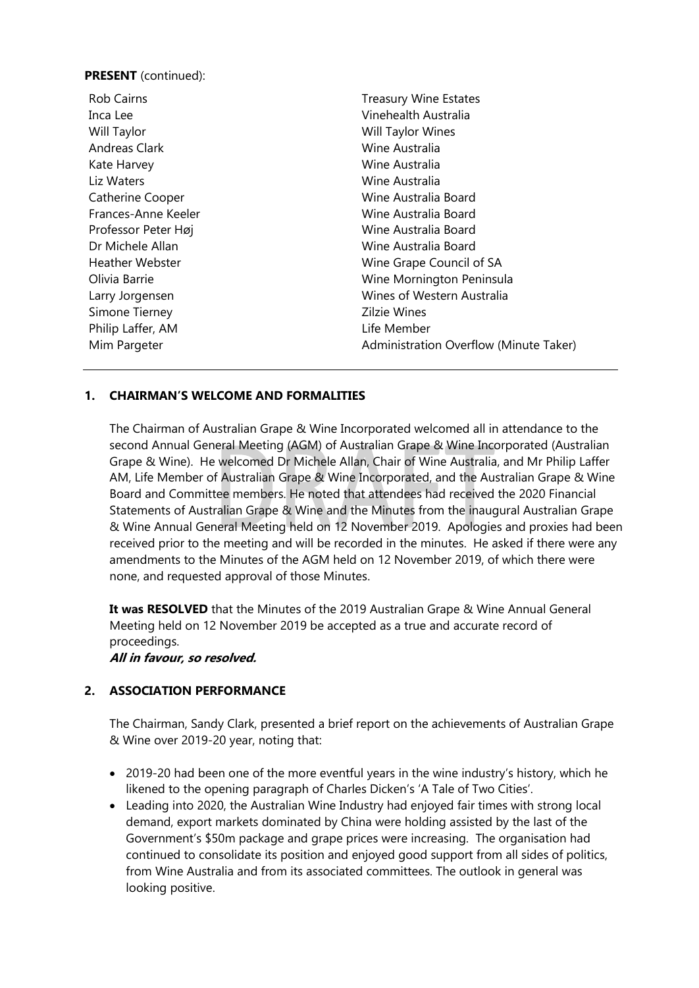### **PRESENT** (continued):

| <b>Rob Cairns</b>      | <b>Treasury Wine Estates</b>           |
|------------------------|----------------------------------------|
| Inca Lee               | Vinehealth Australia                   |
| Will Taylor            | Will Taylor Wines                      |
| <b>Andreas Clark</b>   | Wine Australia                         |
| Kate Harvey            | Wine Australia                         |
| Liz Waters             | Wine Australia                         |
| Catherine Cooper       | Wine Australia Board                   |
| Frances-Anne Keeler    | Wine Australia Board                   |
| Professor Peter Høj    | Wine Australia Board                   |
| Dr Michele Allan       | Wine Australia Board                   |
| <b>Heather Webster</b> | Wine Grape Council of SA               |
| Olivia Barrie          | Wine Mornington Peninsula              |
| Larry Jorgensen        | Wines of Western Australia             |
| Simone Tierney         | <b>Zilzie Wines</b>                    |
| Philip Laffer, AM      | Life Member                            |
| Mim Pargeter           | Administration Overflow (Minute Taker) |

## **1. CHAIRMAN'S WELCOME AND FORMALITIES**

The Chairman of Australian Grape & Wine Incorporated welcomed all in attendance to the second Annual General Meeting (AGM) of Australian Grape & Wine Incorporated (Australian Grape & Wine). He welcomed Dr Michele Allan, Chair of Wine Australia, and Mr Philip Laffer AM, Life Member of Australian Grape & Wine Incorporated, and the Australian Grape & Wine Board and Committee members. He noted that attendees had received the 2020 Financial Statements of Australian Grape & Wine and the Minutes from the inaugural Australian Grape & Wine Annual General Meeting held on 12 November 2019. Apologies and proxies had been received prior to the meeting and will be recorded in the minutes. He asked if there were any amendments to the Minutes of the AGM held on 12 November 2019, of which there were none, and requested approval of those Minutes.

**It was RESOLVED** that the Minutes of the 2019 Australian Grape & Wine Annual General Meeting held on 12 November 2019 be accepted as a true and accurate record of proceedings.

**All in favour, so resolved.**

## **2. ASSOCIATION PERFORMANCE**

The Chairman, Sandy Clark, presented a brief report on the achievements of Australian Grape & Wine over 2019-20 year, noting that:

- 2019-20 had been one of the more eventful years in the wine industry's history, which he likened to the opening paragraph of Charles Dicken's 'A Tale of Two Cities'.
- Leading into 2020, the Australian Wine Industry had enjoyed fair times with strong local demand, export markets dominated by China were holding assisted by the last of the Government's \$50m package and grape prices were increasing. The organisation had continued to consolidate its position and enjoyed good support from all sides of politics, from Wine Australia and from its associated committees. The outlook in general was looking positive.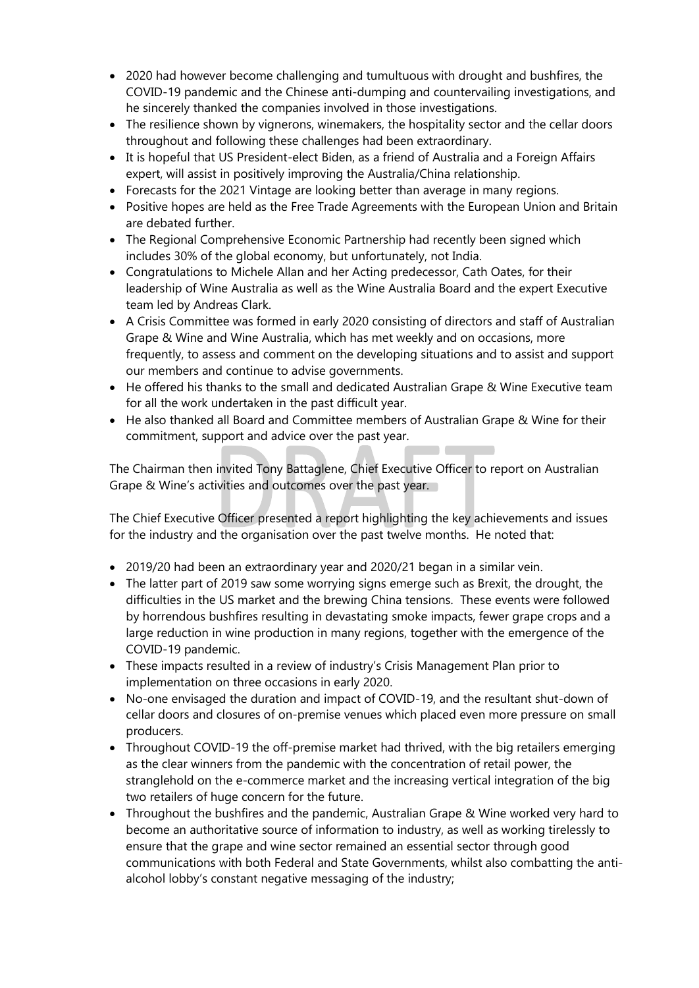- 2020 had however become challenging and tumultuous with drought and bushfires, the COVID-19 pandemic and the Chinese anti-dumping and countervailing investigations, and he sincerely thanked the companies involved in those investigations.
- The resilience shown by vignerons, winemakers, the hospitality sector and the cellar doors throughout and following these challenges had been extraordinary.
- It is hopeful that US President-elect Biden, as a friend of Australia and a Foreign Affairs expert, will assist in positively improving the Australia/China relationship.
- Forecasts for the 2021 Vintage are looking better than average in many regions.
- Positive hopes are held as the Free Trade Agreements with the European Union and Britain are debated further.
- The Regional Comprehensive Economic Partnership had recently been signed which includes 30% of the global economy, but unfortunately, not India.
- Congratulations to Michele Allan and her Acting predecessor, Cath Oates, for their leadership of Wine Australia as well as the Wine Australia Board and the expert Executive team led by Andreas Clark.
- A Crisis Committee was formed in early 2020 consisting of directors and staff of Australian Grape & Wine and Wine Australia, which has met weekly and on occasions, more frequently, to assess and comment on the developing situations and to assist and support our members and continue to advise governments.
- He offered his thanks to the small and dedicated Australian Grape & Wine Executive team for all the work undertaken in the past difficult year.
- He also thanked all Board and Committee members of Australian Grape & Wine for their commitment, support and advice over the past year.

The Chairman then invited Tony Battaglene, Chief Executive Officer to report on Australian Grape & Wine's activities and outcomes over the past year.

The Chief Executive Officer presented a report highlighting the key achievements and issues for the industry and the organisation over the past twelve months. He noted that:

- 2019/20 had been an extraordinary year and 2020/21 began in a similar vein.
- The latter part of 2019 saw some worrying signs emerge such as Brexit, the drought, the difficulties in the US market and the brewing China tensions. These events were followed by horrendous bushfires resulting in devastating smoke impacts, fewer grape crops and a large reduction in wine production in many regions, together with the emergence of the COVID-19 pandemic.
- These impacts resulted in a review of industry's Crisis Management Plan prior to implementation on three occasions in early 2020.
- No-one envisaged the duration and impact of COVID-19, and the resultant shut-down of cellar doors and closures of on-premise venues which placed even more pressure on small producers.
- Throughout COVID-19 the off-premise market had thrived, with the big retailers emerging as the clear winners from the pandemic with the concentration of retail power, the stranglehold on the e-commerce market and the increasing vertical integration of the big two retailers of huge concern for the future.
- Throughout the bushfires and the pandemic, Australian Grape & Wine worked very hard to become an authoritative source of information to industry, as well as working tirelessly to ensure that the grape and wine sector remained an essential sector through good communications with both Federal and State Governments, whilst also combatting the antialcohol lobby's constant negative messaging of the industry;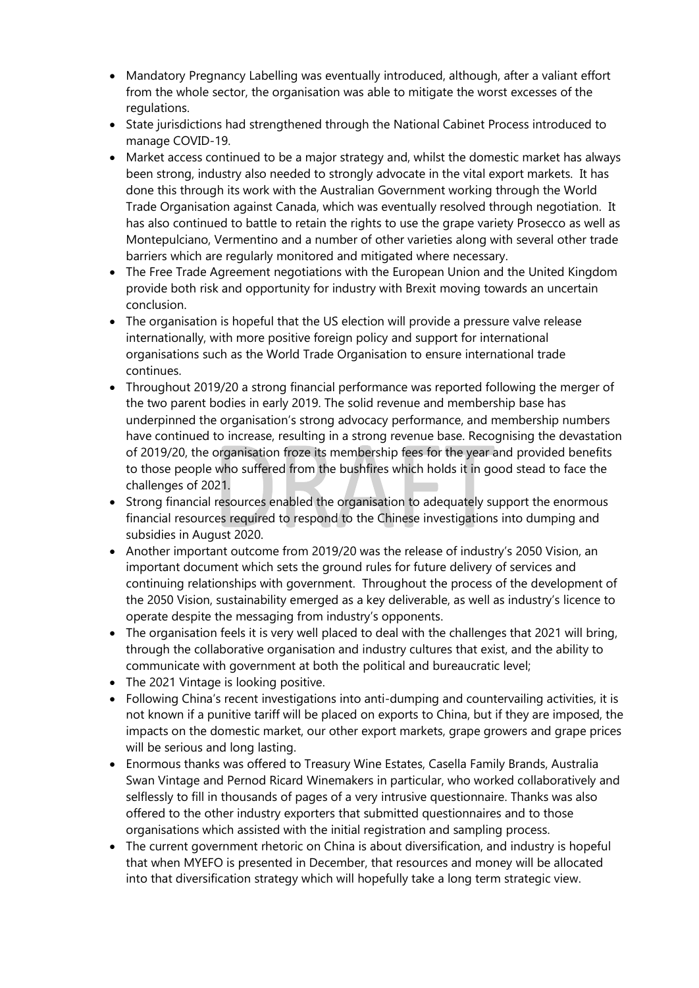- Mandatory Pregnancy Labelling was eventually introduced, although, after a valiant effort from the whole sector, the organisation was able to mitigate the worst excesses of the regulations.
- State jurisdictions had strengthened through the National Cabinet Process introduced to manage COVID-19.
- Market access continued to be a major strategy and, whilst the domestic market has always been strong, industry also needed to strongly advocate in the vital export markets. It has done this through its work with the Australian Government working through the World Trade Organisation against Canada, which was eventually resolved through negotiation. It has also continued to battle to retain the rights to use the grape variety Prosecco as well as Montepulciano, Vermentino and a number of other varieties along with several other trade barriers which are regularly monitored and mitigated where necessary.
- The Free Trade Agreement negotiations with the European Union and the United Kingdom provide both risk and opportunity for industry with Brexit moving towards an uncertain conclusion.
- The organisation is hopeful that the US election will provide a pressure valve release internationally, with more positive foreign policy and support for international organisations such as the World Trade Organisation to ensure international trade continues.
- Throughout 2019/20 a strong financial performance was reported following the merger of the two parent bodies in early 2019. The solid revenue and membership base has underpinned the organisation's strong advocacy performance, and membership numbers have continued to increase, resulting in a strong revenue base. Recognising the devastation of 2019/20, the organisation froze its membership fees for the year and provided benefits to those people who suffered from the bushfires which holds it in good stead to face the challenges of 2021.
- Strong financial resources enabled the organisation to adequately support the enormous financial resources required to respond to the Chinese investigations into dumping and subsidies in August 2020.
- Another important outcome from 2019/20 was the release of industry's 2050 Vision, an important document which sets the ground rules for future delivery of services and continuing relationships with government. Throughout the process of the development of the 2050 Vision, sustainability emerged as a key deliverable, as well as industry's licence to operate despite the messaging from industry's opponents.
- The organisation feels it is very well placed to deal with the challenges that 2021 will bring, through the collaborative organisation and industry cultures that exist, and the ability to communicate with government at both the political and bureaucratic level;
- The 2021 Vintage is looking positive.
- Following China's recent investigations into anti-dumping and countervailing activities, it is not known if a punitive tariff will be placed on exports to China, but if they are imposed, the impacts on the domestic market, our other export markets, grape growers and grape prices will be serious and long lasting.
- Enormous thanks was offered to Treasury Wine Estates, Casella Family Brands, Australia Swan Vintage and Pernod Ricard Winemakers in particular, who worked collaboratively and selflessly to fill in thousands of pages of a very intrusive questionnaire. Thanks was also offered to the other industry exporters that submitted questionnaires and to those organisations which assisted with the initial registration and sampling process.
- The current government rhetoric on China is about diversification, and industry is hopeful that when MYEFO is presented in December, that resources and money will be allocated into that diversification strategy which will hopefully take a long term strategic view.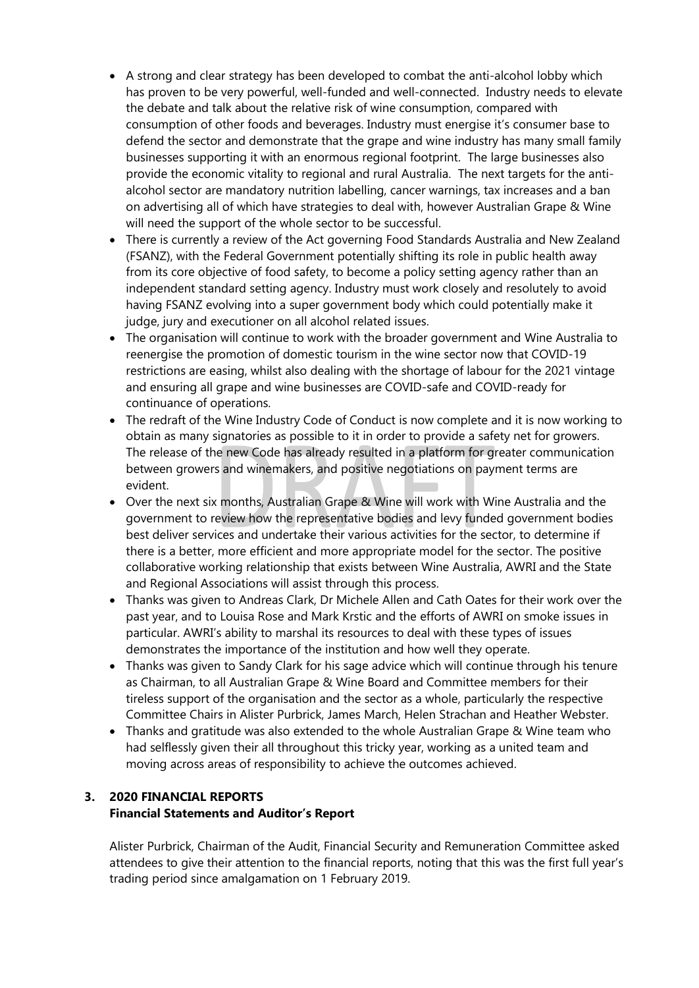- A strong and clear strategy has been developed to combat the anti-alcohol lobby which has proven to be very powerful, well-funded and well-connected. Industry needs to elevate the debate and talk about the relative risk of wine consumption, compared with consumption of other foods and beverages. Industry must energise it's consumer base to defend the sector and demonstrate that the grape and wine industry has many small family businesses supporting it with an enormous regional footprint. The large businesses also provide the economic vitality to regional and rural Australia. The next targets for the antialcohol sector are mandatory nutrition labelling, cancer warnings, tax increases and a ban on advertising all of which have strategies to deal with, however Australian Grape & Wine will need the support of the whole sector to be successful.
- There is currently a review of the Act governing Food Standards Australia and New Zealand (FSANZ), with the Federal Government potentially shifting its role in public health away from its core objective of food safety, to become a policy setting agency rather than an independent standard setting agency. Industry must work closely and resolutely to avoid having FSANZ evolving into a super government body which could potentially make it judge, jury and executioner on all alcohol related issues.
- The organisation will continue to work with the broader government and Wine Australia to reenergise the promotion of domestic tourism in the wine sector now that COVID-19 restrictions are easing, whilst also dealing with the shortage of labour for the 2021 vintage and ensuring all grape and wine businesses are COVID-safe and COVID-ready for continuance of operations.
- The redraft of the Wine Industry Code of Conduct is now complete and it is now working to obtain as many signatories as possible to it in order to provide a safety net for growers. The release of the new Code has already resulted in a platform for greater communication between growers and winemakers, and positive negotiations on payment terms are evident.
- Over the next six months, Australian Grape & Wine will work with Wine Australia and the government to review how the representative bodies and levy funded government bodies best deliver services and undertake their various activities for the sector, to determine if there is a better, more efficient and more appropriate model for the sector. The positive collaborative working relationship that exists between Wine Australia, AWRI and the State and Regional Associations will assist through this process.
- Thanks was given to Andreas Clark, Dr Michele Allen and Cath Oates for their work over the past year, and to Louisa Rose and Mark Krstic and the efforts of AWRI on smoke issues in particular. AWRI's ability to marshal its resources to deal with these types of issues demonstrates the importance of the institution and how well they operate.
- Thanks was given to Sandy Clark for his sage advice which will continue through his tenure as Chairman, to all Australian Grape & Wine Board and Committee members for their tireless support of the organisation and the sector as a whole, particularly the respective Committee Chairs in Alister Purbrick, James March, Helen Strachan and Heather Webster.
- Thanks and gratitude was also extended to the whole Australian Grape & Wine team who had selflessly given their all throughout this tricky year, working as a united team and moving across areas of responsibility to achieve the outcomes achieved.

# **3. 2020 FINANCIAL REPORTS Financial Statements and Auditor's Report**

Alister Purbrick, Chairman of the Audit, Financial Security and Remuneration Committee asked attendees to give their attention to the financial reports, noting that this was the first full year's trading period since amalgamation on 1 February 2019.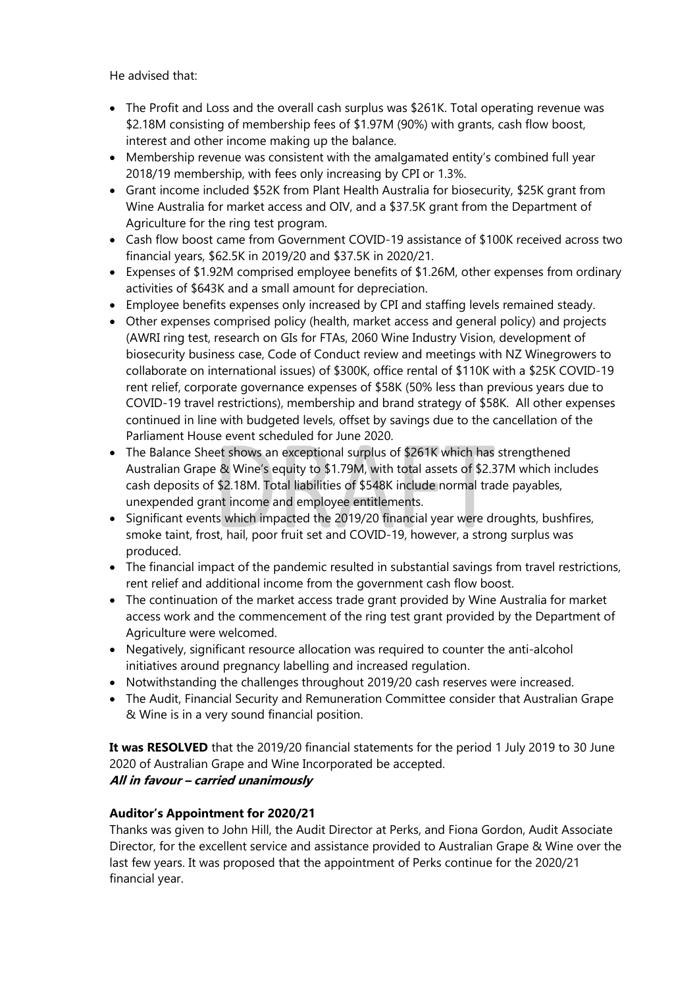He advised that:

- The Profit and Loss and the overall cash surplus was \$261K. Total operating revenue was \$2.18M consisting of membership fees of \$1.97M (90%) with grants, cash flow boost, interest and other income making up the balance.
- Membership revenue was consistent with the amalgamated entity's combined full year 2018/19 membership, with fees only increasing by CPI or 1.3%.
- Grant income included \$52K from Plant Health Australia for biosecurity, \$25K grant from Wine Australia for market access and OIV, and a \$37.5K grant from the Department of Agriculture for the ring test program.
- Cash flow boost came from Government COVID-19 assistance of \$100K received across two financial years, \$62.5K in 2019/20 and \$37.5K in 2020/21.
- Expenses of \$1.92M comprised employee benefits of \$1.26M, other expenses from ordinary activities of \$643K and a small amount for depreciation.
- Employee benefits expenses only increased by CPI and staffing levels remained steady.
- Other expenses comprised policy (health, market access and general policy) and projects (AWRI ring test, research on GIs for FTAs, 2060 Wine Industry Vision, development of biosecurity business case, Code of Conduct review and meetings with NZ Winegrowers to collaborate on international issues) of \$300K, office rental of \$110K with a \$25K COVID-19 rent relief, corporate governance expenses of \$58K (50% less than previous years due to COVID-19 travel restrictions), membership and brand strategy of \$58K. All other expenses continued in line with budgeted levels, offset by savings due to the cancellation of the Parliament House event scheduled for June 2020.
- The Balance Sheet shows an exceptional surplus of \$261K which has strengthened Australian Grape & Wine's equity to \$1.79M, with total assets of \$2.37M which includes cash deposits of \$2.18M. Total liabilities of \$548K include normal trade payables, unexpended grant income and employee entitlements.
- Significant events which impacted the 2019/20 financial year were droughts, bushfires, smoke taint, frost, hail, poor fruit set and COVID-19, however, a strong surplus was produced.
- The financial impact of the pandemic resulted in substantial savings from travel restrictions, rent relief and additional income from the government cash flow boost.
- The continuation of the market access trade grant provided by Wine Australia for market access work and the commencement of the ring test grant provided by the Department of Agriculture were welcomed.
- Negatively, significant resource allocation was required to counter the anti-alcohol initiatives around pregnancy labelling and increased regulation.
- Notwithstanding the challenges throughout 2019/20 cash reserves were increased.
- The Audit, Financial Security and Remuneration Committee consider that Australian Grape & Wine is in a very sound financial position.

**It was RESOLVED** that the 2019/20 financial statements for the period 1 July 2019 to 30 June 2020 of Australian Grape and Wine Incorporated be accepted. **All in favour – carried unanimously**

# **Auditor's Appointment for 2020/21**

Thanks was given to John Hill, the Audit Director at Perks, and Fiona Gordon, Audit Associate Director, for the excellent service and assistance provided to Australian Grape & Wine over the last few years. It was proposed that the appointment of Perks continue for the 2020/21 financial year.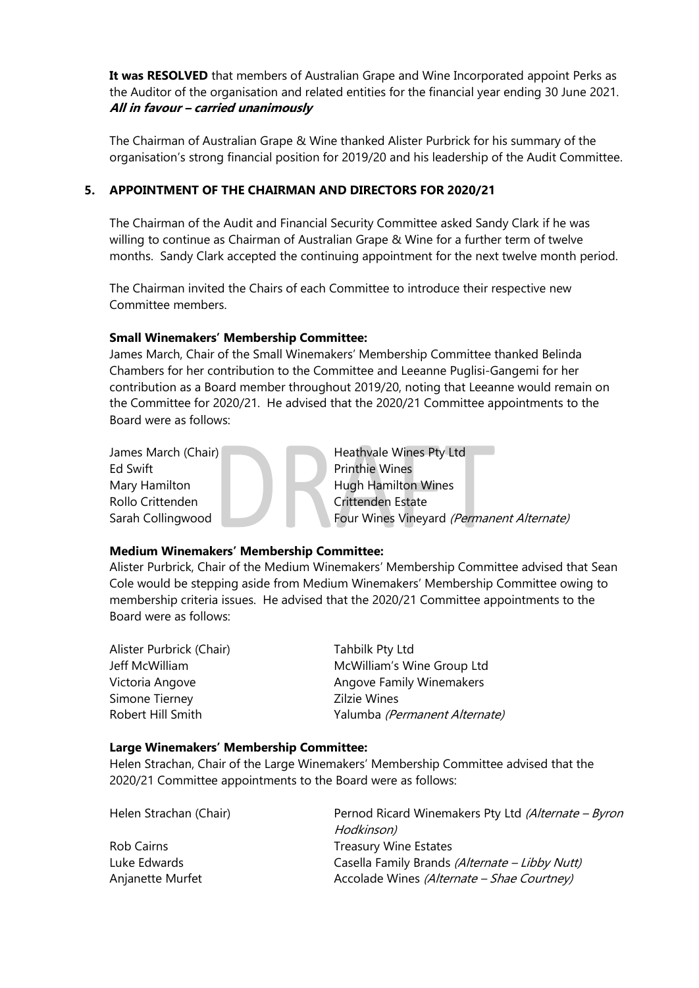**It was RESOLVED** that members of Australian Grape and Wine Incorporated appoint Perks as the Auditor of the organisation and related entities for the financial year ending 30 June 2021. **All in favour – carried unanimously**

The Chairman of Australian Grape & Wine thanked Alister Purbrick for his summary of the organisation's strong financial position for 2019/20 and his leadership of the Audit Committee.

## **5. APPOINTMENT OF THE CHAIRMAN AND DIRECTORS FOR 2020/21**

The Chairman of the Audit and Financial Security Committee asked Sandy Clark if he was willing to continue as Chairman of Australian Grape & Wine for a further term of twelve months. Sandy Clark accepted the continuing appointment for the next twelve month period.

The Chairman invited the Chairs of each Committee to introduce their respective new Committee members.

### **Small Winemakers' Membership Committee:**

James March, Chair of the Small Winemakers' Membership Committee thanked Belinda Chambers for her contribution to the Committee and Leeanne Puglisi-Gangemi for her contribution as a Board member throughout 2019/20, noting that Leeanne would remain on the Committee for 2020/21. He advised that the 2020/21 Committee appointments to the Board were as follows:

Ed Swift **Printhie Wines** Rollo Crittenden Crittenden Estate

James March (Chair) Heathvale Wines Pty Ltd Mary Hamilton **Hugh Hamilton Wines** Sarah Collingwood Four Wines Vineyard (Permanent Alternate)

### **Medium Winemakers' Membership Committee:**

Alister Purbrick, Chair of the Medium Winemakers' Membership Committee advised that Sean Cole would be stepping aside from Medium Winemakers' Membership Committee owing to membership criteria issues. He advised that the 2020/21 Committee appointments to the Board were as follows:

| Alister Purbrick (Chair) | Tahbilk Pty Ltd               |
|--------------------------|-------------------------------|
| Jeff McWilliam           | McWilliam's Wine Group Ltd    |
| Victoria Angove          | Angove Family Winemakers      |
| Simone Tierney           | Zilzie Wines                  |
| Robert Hill Smith        | Yalumba (Permanent Alternate) |

#### **Large Winemakers' Membership Committee:**

Helen Strachan, Chair of the Large Winemakers' Membership Committee advised that the 2020/21 Committee appointments to the Board were as follows:

| Helen Strachan (Chair) | Pernod Ricard Winemakers Pty Ltd (Alternate - Byron<br>Hodkinson) |
|------------------------|-------------------------------------------------------------------|
| Rob Cairns             | <b>Treasury Wine Estates</b>                                      |
| Luke Edwards           | Casella Family Brands (Alternate - Libby Nutt)                    |
| Anjanette Murfet       | Accolade Wines (Alternate - Shae Courtney)                        |